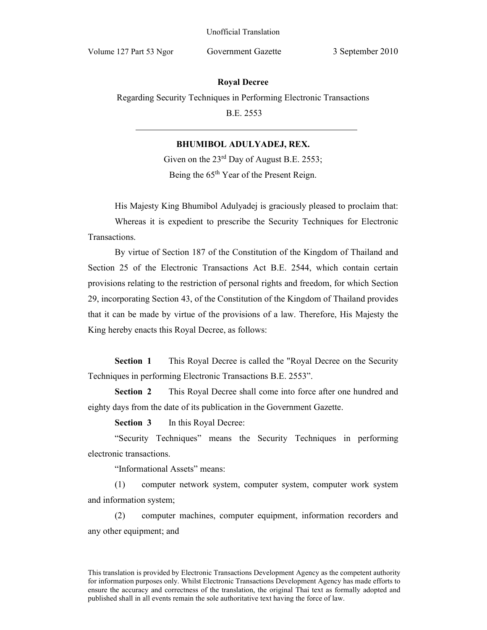## **Royal Decree**

Regarding Security Techniques in Performing Electronic Transactions

B.E. 2553

## **BHUMIBOL ADULYADEJ, REX.**

Given on the  $23^{\text{rd}}$  Day of August B.E. 2553; Being the  $65<sup>th</sup>$  Year of the Present Reign.

His Majesty King Bhumibol Adulyadej is graciously pleased to proclaim that:

 Whereas it is expedient to prescribe the Security Techniques for Electronic Transactions.

 By virtue of Section 187 of the Constitution of the Kingdom of Thailand and Section 25 of the Electronic Transactions Act B.E. 2544, which contain certain provisions relating to the restriction of personal rights and freedom, for which Section 29, incorporating Section 43, of the Constitution of the Kingdom of Thailand provides that it can be made by virtue of the provisions of a law. Therefore, His Majesty the King hereby enacts this Royal Decree, as follows:

**Section 1** This Royal Decree is called the "Royal Decree on the Security" Techniques in performing Electronic Transactions B.E. 2553".

**Section 2** This Royal Decree shall come into force after one hundred and eighty days from the date of its publication in the Government Gazette.

**Section 3** In this Royal Decree:

"Security Techniques" means the Security Techniques in performing electronic transactions.

"Informational Assets" means:

(1) computer network system, computer system, computer work system and information system;

(2) computer machines, computer equipment, information recorders and any other equipment; and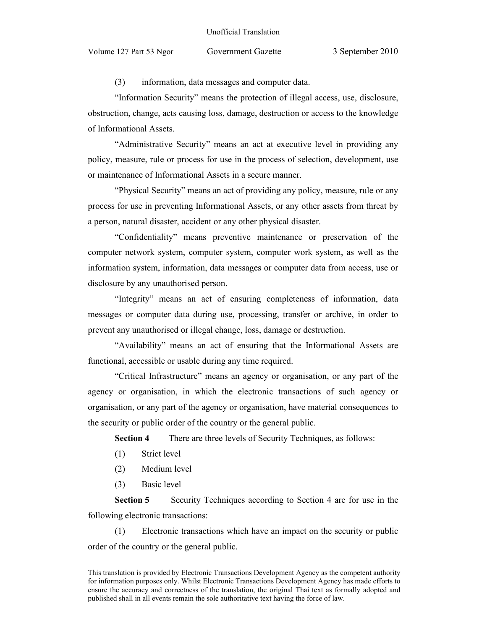(3) information, data messages and computer data.

"Information Security" means the protection of illegal access, use, disclosure, obstruction, change, acts causing loss, damage, destruction or access to the knowledge of Informational Assets.

"Administrative Security" means an act at executive level in providing any policy, measure, rule or process for use in the process of selection, development, use or maintenance of Informational Assets in a secure manner.

"Physical Security" means an act of providing any policy, measure, rule or any process for use in preventing Informational Assets, or any other assets from threat by a person, natural disaster, accident or any other physical disaster.

"Confidentiality" means preventive maintenance or preservation of the computer network system, computer system, computer work system, as well as the information system, information, data messages or computer data from access, use or disclosure by any unauthorised person.

"Integrity" means an act of ensuring completeness of information, data messages or computer data during use, processing, transfer or archive, in order to prevent any unauthorised or illegal change, loss, damage or destruction.

"Availability" means an act of ensuring that the Informational Assets are functional, accessible or usable during any time required.

"Critical Infrastructure" means an agency or organisation, or any part of the agency or organisation, in which the electronic transactions of such agency or organisation, or any part of the agency or organisation, have material consequences to the security or public order of the country or the general public.

**Section 4** There are three levels of Security Techniques, as follows:

- (1) Strict level
- (2) Medium level
- (3) Basic level

**Section 5** Security Techniques according to Section 4 are for use in the following electronic transactions:

(1) Electronic transactions which have an impact on the security or public order of the country or the general public.

This translation is provided by Electronic Transactions Development Agency as the competent authority for information purposes only. Whilst Electronic Transactions Development Agency has made efforts to ensure the accuracy and correctness of the translation, the original Thai text as formally adopted and published shall in all events remain the sole authoritative text having the force of law.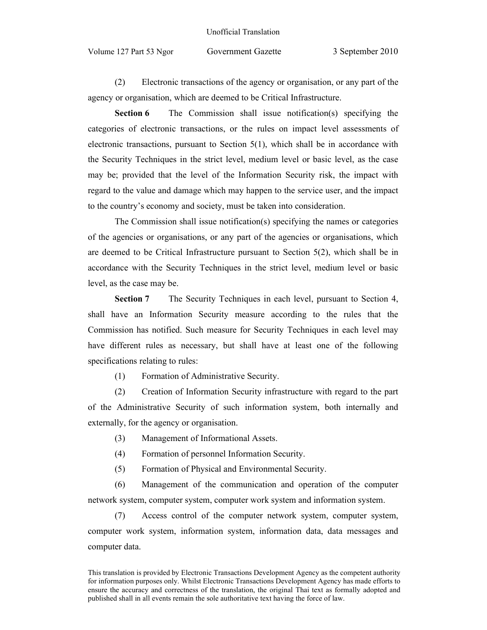Volume 127 Part 53 Ngor Government Gazette 3 September 2010

(2) Electronic transactions of the agency or organisation, or any part of the agency or organisation, which are deemed to be Critical Infrastructure.

**Section 6** The Commission shall issue notification(s) specifying the categories of electronic transactions, or the rules on impact level assessments of electronic transactions, pursuant to Section 5(1), which shall be in accordance with the Security Techniques in the strict level, medium level or basic level, as the case may be; provided that the level of the Information Security risk, the impact with regard to the value and damage which may happen to the service user, and the impact to the country's economy and society, must be taken into consideration.

The Commission shall issue notification(s) specifying the names or categories of the agencies or organisations, or any part of the agencies or organisations, which are deemed to be Critical Infrastructure pursuant to Section 5(2), which shall be in accordance with the Security Techniques in the strict level, medium level or basic level, as the case may be.

**Section 7** The Security Techniques in each level, pursuant to Section 4, shall have an Information Security measure according to the rules that the Commission has notified. Such measure for Security Techniques in each level may have different rules as necessary, but shall have at least one of the following specifications relating to rules:

(1) Formation of Administrative Security.

(2) Creation of Information Security infrastructure with regard to the part of the Administrative Security of such information system, both internally and externally, for the agency or organisation.

(3) Management of Informational Assets.

- (4) Formation of personnel Information Security.
- (5) Formation of Physical and Environmental Security.

(6) Management of the communication and operation of the computer network system, computer system, computer work system and information system.

(7) Access control of the computer network system, computer system, computer work system, information system, information data, data messages and computer data.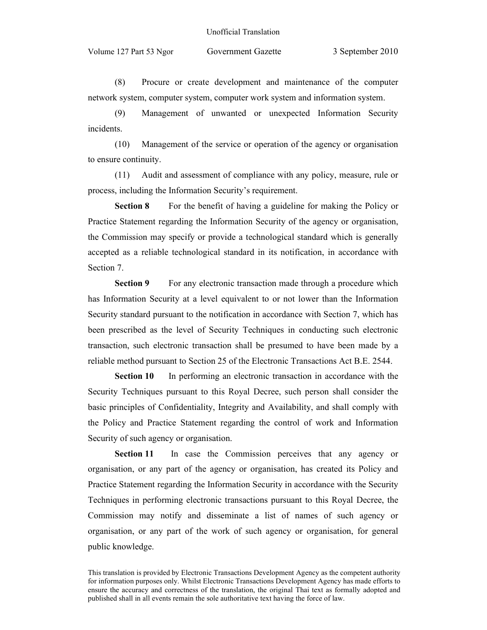## Unofficial Translation

Volume 127 Part 53 Ngor Government Gazette 3 September 2010

(8) Procure or create development and maintenance of the computer network system, computer system, computer work system and information system.

(9) Management of unwanted or unexpected Information Security incidents.

(10) Management of the service or operation of the agency or organisation to ensure continuity.

(11) Audit and assessment of compliance with any policy, measure, rule or process, including the Information Security's requirement.

**Section 8** For the benefit of having a guideline for making the Policy or Practice Statement regarding the Information Security of the agency or organisation, the Commission may specify or provide a technological standard which is generally accepted as a reliable technological standard in its notification, in accordance with Section 7.

**Section 9** For any electronic transaction made through a procedure which has Information Security at a level equivalent to or not lower than the Information Security standard pursuant to the notification in accordance with Section 7, which has been prescribed as the level of Security Techniques in conducting such electronic transaction, such electronic transaction shall be presumed to have been made by a reliable method pursuant to Section 25 of the Electronic Transactions Act B.E. 2544.

**Section 10** In performing an electronic transaction in accordance with the Security Techniques pursuant to this Royal Decree, such person shall consider the basic principles of Confidentiality, Integrity and Availability, and shall comply with the Policy and Practice Statement regarding the control of work and Information Security of such agency or organisation.

**Section 11** In case the Commission perceives that any agency or organisation, or any part of the agency or organisation, has created its Policy and Practice Statement regarding the Information Security in accordance with the Security Techniques in performing electronic transactions pursuant to this Royal Decree, the Commission may notify and disseminate a list of names of such agency or organisation, or any part of the work of such agency or organisation, for general public knowledge.